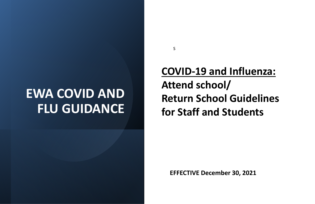# **EWA COVID AND FLU GUIDANCE**

**EFFECTIVE December 30, 2021**

S

**COVID-19 and Influenza: Attend school/ Return School Guidelines for Staff and Students**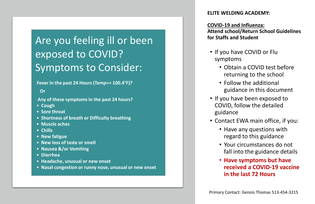#### **ELITE WELDING ACADEMY:**

#### **COVID-19 and Influenza: Attend school/Return School Guidelines for Staffs and Student**

- If you have COVID or Flu symptoms
	- Obtain a COVID test before returning to the school
	- Follow the additional guidance in this document
- If you have been exposed to COVID, follow the detailed guidance
- Contact EWA main office, if you:
	- Have any questions with regard to this guidance
	-
	-

• Your circumstances do not fall into the guidance details

### • **Have symptoms but have received a COVID-19 vaccine in the last 72 Hours**

## Are you feeling ill or been exposed to COVID? Symptoms to Consider:

#### **Fever in the past 24 Hours (Temp>= 100.4°F)?**

**Or**

**Any of these symptomsin the past 24 hours?**

- **Cough**
- **Sore throat**
- **Shortness of breath or Difficulty breathing**
- **Muscle aches**
- **Chills**
- **New fatigue**
- **New loss of taste or smell**
- **Nausea &/or Vomiting**
- **Diarrhea**
- **Headache, unusual or new onset**
- **Nasal congestion or runny nose, unusual or new onset**

Primary Contact: Genois Thomas 513-454-3215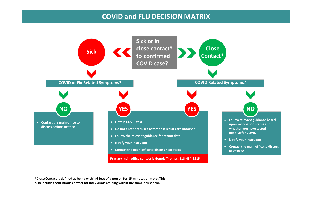### **COVID and FLU DECISION MATRIX**



• **Follow relevant guidance based upon vaccination status and whether you have tested positive for COVID**

• **Notify your instructor**

• **Contact the main office to discuss next steps**



**\*Close Contact is defined as being within 6 feet of a person for 15 minutes or more. This also includes continuous contact for individuals residing within the same household.**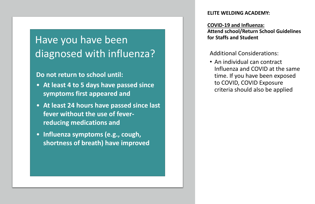#### **ELITE WELDING ACADEMY:**

#### **COVID-19 and Influenza: Attend school/Return School Guidelines for Staffs and Student**

Additional Considerations: • An individual can contract Influenza and COVID at the same time. If you have been exposed to COVID, COVID Exposure criteria should also be applied

## Have you have been diagnosed with influenza?

### **Do not return to school until:**

- **At least 4 to 5 days have passed since symptoms first appeared and**
- **At least 24 hours have passed since last fever without the use of feverreducing medications and**
- **Influenza symptoms (e.g., cough, shortness of breath) have improved**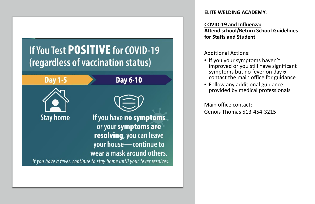## If You Test POSITIVE for COVID-19 (regardless of vaccination status)



#### **ELITE WELDING ACADEMY:**

### **COVID-19 and Influenza:**

## **Attend school/Return School Guidelines**

**for Staffs and Student**

Additional Actions:

- 
- 

• If you your symptoms haven't improved or you still have significant symptoms but no fever on day 6, contact the main office for guidance • Follow any additional guidance provided by medical professionals

Main office contact: Genois Thomas 513-454-3215